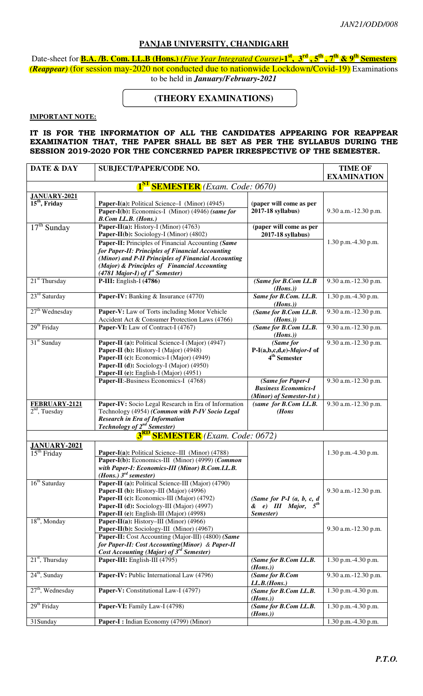## **PANJAB UNIVERSITY, CHANDIGARH**

Date-sheet for **B.A. /B. Com. LL.B (Hons.)** *(Five Year Integrated Course)***-1st, 3rd , 5th , 7th & 9th Semesters** *(Reappear)* (for session may-2020 not conducted due to nationwide Lockdown/Covid-19) Examinations to be held in *January/February-2021*

## **(THEORY EXAMINATIONS)**

## **IMPORTANT NOTE:**

## **IT IS FOR THE INFORMATION OF ALL THE CANDIDATES APPEARING FOR REAPPEAR EXAMINATION THAT, THE PAPER SHALL BE SET AS PER THE SYLLABUS DURING THE SESSION 2019-2020 FOR THE CONCERNED PAPER IRRESPECTIVE OF THE SEMESTER.**

| DATE & DAY                                        | <b>SUBJECT/PAPER/CODE NO.</b>                                                                       | <b>TIME OF</b><br><b>EXAMINATION</b>                     |                        |  |  |
|---------------------------------------------------|-----------------------------------------------------------------------------------------------------|----------------------------------------------------------|------------------------|--|--|
|                                                   |                                                                                                     |                                                          |                        |  |  |
| <b>1<sup>ST</sup> SEMESTER</b> (Exam. Code: 0670) |                                                                                                     |                                                          |                        |  |  |
| <b>JANUARY-2021</b><br>$15th$ , Friday            | Paper-I(a): Political Science-I (Minor) (4945)                                                      | (paper will come as per                                  |                        |  |  |
|                                                   | Paper-I(b): Economics-I (Minor) (4946) (same for                                                    | 2017-18 syllabus)                                        | 9.30 a.m.-12.30 p.m.   |  |  |
|                                                   | <b>B.Com LL.B.</b> (Hons.)                                                                          |                                                          |                        |  |  |
| $17th$ Sunday                                     | Paper-II(a): History-I (Minor) (4763)                                                               | (paper will come as per                                  |                        |  |  |
|                                                   | Paper-II(b): Sociology-I (Minor) (4802)                                                             | 2017-18 syllabus)                                        |                        |  |  |
|                                                   | Paper-II: Principles of Financial Accounting (Same                                                  |                                                          | 1.30 p.m.-4.30 p.m.    |  |  |
|                                                   | for Paper-II: Principles of Financial Accounting                                                    |                                                          |                        |  |  |
|                                                   | (Minor) and P-II Principles of Financial Accounting<br>(Major) & Principles of Financial Accounting |                                                          |                        |  |  |
|                                                   | (4781 Major-I) of $Ist$ Semester)                                                                   |                                                          |                        |  |  |
| $21st$ Thursday                                   | $P-III$ : English-I (4786)                                                                          | (Same for B.Com LL.B                                     | 9.30 a.m.-12.30 p.m.   |  |  |
|                                                   |                                                                                                     | (Hons.)                                                  |                        |  |  |
| 23 <sup>rd</sup> Saturday                         | Paper-IV: Banking & Insurance (4770)                                                                | Same for B.Com. LL.B.                                    | 1.30 p.m.-4.30 p.m.    |  |  |
| $27th$ Wednesday                                  | Paper-V: Law of Torts including Motor Vehicle                                                       | (Hons.)                                                  |                        |  |  |
|                                                   | Accident Act & Consumer Protection Laws (4766)                                                      | (Same for B.Com LL.B.<br>(Hons.)                         | 9.30 a.m.-12.30 p.m.   |  |  |
| $29th$ Friday                                     | Paper-VI: Law of Contract-I (4767)                                                                  | (Same for B.Com LL.B.                                    | 9.30 a.m.-12.30 p.m.   |  |  |
|                                                   |                                                                                                     | (Hons.)                                                  |                        |  |  |
| 31 <sup>st</sup> Sunday                           | Paper-II (a): Political Science-I (Major) (4947)                                                    | (Same for                                                | 9.30 a.m.-12.30 p.m.   |  |  |
|                                                   | Paper-II (b): History-I (Major) (4948)                                                              | P-I(a,b,c,d,e)-Major-I of                                |                        |  |  |
|                                                   | Paper-II (c): Economics-I (Major) (4949)                                                            | 4 <sup>th</sup> Semester                                 |                        |  |  |
|                                                   | Paper-II (d): Sociology-I (Major) (4950)<br>Paper-II (e): English-I (Major) (4951)                  |                                                          |                        |  |  |
|                                                   | Paper-II: Business Economics-I (4768)                                                               | (Same for Paper-I                                        | 9.30 a.m.-12.30 p.m.   |  |  |
|                                                   |                                                                                                     | <b>Business Economics-I</b>                              |                        |  |  |
|                                                   |                                                                                                     | (Minor) of Semester-1st)                                 |                        |  |  |
| FEBRUARY-2121                                     | Paper-IV: Socio Legal Research in Era of Information                                                | (same for B.Com LL.B.                                    | 9.30 a.m.-12.30 p.m.   |  |  |
| $2nd$ , Tuesday                                   | Technology (4954) (Common with P-IV Socio Legal                                                     | (Hons                                                    |                        |  |  |
|                                                   | <b>Research in Era of Information</b><br>Technology of 2 <sup>nd</sup> Semester)                    |                                                          |                        |  |  |
|                                                   | <b>3<sup>RD</sup> SEMESTER</b> (Exam. Code: 0672)                                                   |                                                          |                        |  |  |
|                                                   |                                                                                                     |                                                          |                        |  |  |
| <b>JANUARY-2021</b><br>$15th$ Friday              | Paper-I(a): Political Science-III (Minor) (4788)                                                    |                                                          | 1.30 p.m.-4.30 p.m.    |  |  |
|                                                   | Paper-I(b): Economics-III (Minor) (4999) (Common                                                    |                                                          |                        |  |  |
|                                                   | with Paper-I: Economics-III (Minor) B.Com.LL.B.                                                     |                                                          |                        |  |  |
|                                                   | $(Hons.)$ $3^{rd}$ semester)                                                                        |                                                          |                        |  |  |
| 16 <sup>th</sup> Saturday                         | Paper-II (a): Political Science-III (Major) (4790)                                                  |                                                          |                        |  |  |
|                                                   | Paper-II (b): History-III (Major) (4996)                                                            |                                                          | $9.30$ a.m.-12.30 p.m. |  |  |
|                                                   | Paper-II (c): Economics-III (Major) (4792)<br>Paper-II (d): Sociology-III (Major) (4997)            | (Same for P-I $(a, b, c, d)$<br>& e) III Major, $5^{th}$ |                        |  |  |
|                                                   | Paper-II (e): English-III (Major) (4998)                                                            | Semester)                                                |                        |  |  |
| $18th$ , Monday                                   | Paper-II(a): History-III (Minor) (4966)                                                             |                                                          |                        |  |  |
|                                                   | Paper-II(b): Sociology-III (Minor) (4967)                                                           |                                                          | 9.30 a.m.-12.30 p.m.   |  |  |
|                                                   | Paper-II: Cost Accounting (Major-III) (4800) (Same                                                  |                                                          |                        |  |  |
|                                                   | for Paper-II: Cost Accounting(Minor) & Paper-II                                                     |                                                          |                        |  |  |
| $21st$ , Thursday                                 | Cost Accounting (Major) of $3^{rd}$ Semester)<br>Paper-III: English-III (4795)                      | (Same for B.Com LL.B.                                    | 1.30 p.m.-4.30 p.m.    |  |  |
|                                                   |                                                                                                     | (Hons.)                                                  |                        |  |  |
| $24th$ , Sunday                                   | Paper-IV: Public International Law (4796)                                                           | (Same for B.Com                                          | 9.30 a.m.-12.30 p.m.   |  |  |
|                                                   |                                                                                                     | LL.B.(Hons.)                                             |                        |  |  |
| $27th$ , Wednesday                                | Paper-V: Constitutional Law-I (4797)                                                                | (Same for B.Com LL.B.                                    | 1.30 p.m.-4.30 p.m.    |  |  |
|                                                   |                                                                                                     | (Hons.)                                                  |                        |  |  |
| 29 <sup>th</sup> Friday                           | Paper-VI: Family Law-I (4798)                                                                       | (Same for B.Com LL.B.<br>(Hons.)                         | 1.30 p.m.-4.30 p.m.    |  |  |
| 31Sunday                                          | Paper-I: Indian Economy (4799) (Minor)                                                              |                                                          | 1.30 p.m.-4.30 p.m.    |  |  |
|                                                   |                                                                                                     |                                                          |                        |  |  |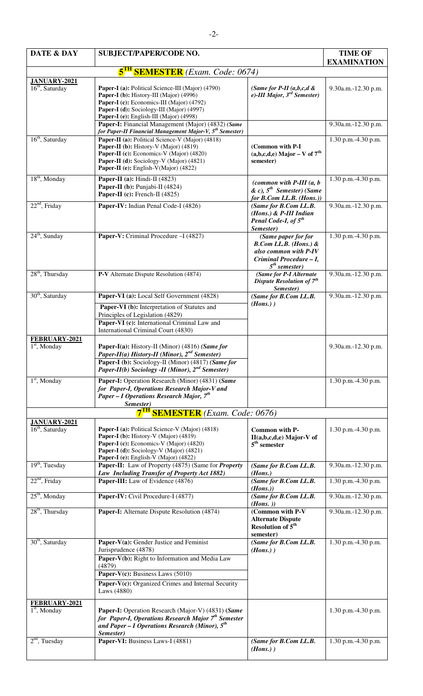| DATE & DAY                                    | <b>SUBJECT/PAPER/CODE NO.</b>                                                                                                                                                                                                                                                           |                                                                                                                                 | <b>TIME OF</b><br><b>EXAMINATION</b> |
|-----------------------------------------------|-----------------------------------------------------------------------------------------------------------------------------------------------------------------------------------------------------------------------------------------------------------------------------------------|---------------------------------------------------------------------------------------------------------------------------------|--------------------------------------|
|                                               | $5$ <sup>TH</sup><br><b>SEMESTER</b> (Exam. Code: 0674)                                                                                                                                                                                                                                 |                                                                                                                                 |                                      |
| $JANUARY-2021$<br>16 <sup>th</sup> , Saturday | Paper-I (a): Political Science-III (Major) (4790)<br>Paper-I (b): History-III (Major) (4996)<br>Paper-I (c): Economics-III (Major) (4792)<br>Paper-I (d): Sociology-III (Major) (4997)<br>Paper-I (e): English-III (Major) (4998)<br>Paper-I: Financial Management (Major) (4832) (Same | (Same for P-II $(a,b,c,d \&$<br>e)-III Major, $3^{rd}$ Semester)                                                                | 9.30a.m.-12.30 p.m.                  |
|                                               | for Paper-II Financial Management Major-V, 5 <sup>th</sup> Semester)                                                                                                                                                                                                                    |                                                                                                                                 | 9.30a.m.-12.30 p.m.                  |
| $16th$ , Saturday                             | Paper-II (a): Political Science-V (Major) (4818)<br><b>Paper-II</b> (b): History-V (Major) $(4819)$<br>Paper-II (c): Economics-V (Major) (4820)<br>Paper-II (d): Sociology-V (Major) (4821)<br>Paper-II (e): English-V(Major) (4822)                                                    | (Common with P-I<br>$(a,b,c,d,e)$ Major – V of $7th$<br>semester)                                                               | 1.30 p.m.-4.30 p.m.                  |
| $18th$ , Monday                               | Paper-II (a): Hindi-II $(4823)$<br>Paper-II (b): Punjabi-II (4824)<br>Paper-II (c): French-II $(4825)$                                                                                                                                                                                  | (common with $P-III$ (a, b<br>$\&c)$ , $5^{th}$ Semester) (Same<br>for B.Com LL.B. (Hons.))                                     | 1.30 p.m.-4.30 p.m.                  |
| $22nd$ , Friday                               | Paper-IV: Indian Penal Code-I (4826)                                                                                                                                                                                                                                                    | (Same for B.Com LL.B.<br>(Hons.) & P-III Indian<br>Penal Code-I, of 5 <sup>th</sup><br>Semester)                                | 9.30a.m.-12.30 p.m.                  |
| $24th$ , Sunday                               | Paper-V: Criminal Procedure - I (4827)                                                                                                                                                                                                                                                  | (Same paper for for<br>$B. Com LL.B. (Hons.)$ &<br>also common with P-IV<br>Criminal Procedure - I,<br>5 <sup>th</sup> semester | 1.30 p.m.-4.30 p.m.                  |
| $28th$ , Thursday                             | P-V Alternate Dispute Resolution (4874)                                                                                                                                                                                                                                                 | (Same for P-I Alternate<br><b>Dispute Resolution of 7th</b><br>Semester)                                                        | 9.30a.m.-12.30 p.m.                  |
| $30th$ , Saturday                             | Paper-VI (a): Local Self Government (4828)<br>Paper-VI (b): Interpretation of Statutes and<br>Principles of Legislation (4829)<br>Paper-VI (c): International Criminal Law and<br>International Criminal Court (4830)                                                                   | (Same for B.Com LL.B.<br>$(Hons.)$ )                                                                                            | 9.30a.m.-12.30 p.m.                  |
| FEBRUARY-2021<br>$1st$ , Monday               | Paper-I(a): History-II (Minor) (4816) (Same for<br>Paper-II(a) History-II (Minor), $2^{nd}$ Semester)<br><b>Paper-I (b):</b> Sociology-II (Minor) (4817) (Same for<br>Paper-II(b) Sociology -II (Minor), $2^{nd}$ Semester)                                                             |                                                                                                                                 | 9.30a.m.-12.30 p.m.                  |
| $1st$ , Monday                                | Paper-I: Operation Research (Minor) (4831) (Same<br>for Paper-I, Operations Research Major-V and<br><b>Paper – I Operations Research Major, <math>7^{th}</math></b><br>Semester)                                                                                                        |                                                                                                                                 | 1.30 p.m.-4.30 p.m.                  |
|                                               | <b>SEMESTER</b> (Exam. Code: 0676)                                                                                                                                                                                                                                                      |                                                                                                                                 |                                      |
| <b>JANUARY-2021</b><br>$16th$ , Saturday      | Paper-I (a): Political Science-V (Major) (4818)<br>Paper-I (b): History-V (Major) (4819)<br>Paper-I (c): Economics-V (Major) (4820)<br>Paper-I (d): Sociology-V (Major) (4821)<br>Paper-I (e): English-V (Major) (4822)                                                                 | Common with P-<br>$II(a,b,c,d,e)$ Major-V of<br>$5th$ semester                                                                  | 1.30 p.m.-4.30 p.m.                  |
| $19th$ , Tuesday                              | Paper-II: Law of Property (4875) (Same for <i>Property</i>                                                                                                                                                                                                                              | (Same for B.Com LL.B.                                                                                                           | 9.30a.m.-12.30 p.m.                  |
| $22nd$ , Friday                               | Law Including Transfer of Property Act 1882)<br>Paper-III: Law of Evidence (4876)                                                                                                                                                                                                       | (Hons.)<br>(Same for B.Com LL.B.<br>(Hons.)                                                                                     | 1.30 p.m.-4.30 p.m.                  |
| $25th$ , Monday                               | Paper-IV: Civil Procedure-I (4877)                                                                                                                                                                                                                                                      | (Same for B.Com LL.B.<br>$(Hons.$ )                                                                                             | 9.30a.m.-12.30 p.m.                  |
| $28th$ , Thursday                             | Paper-I: Alternate Dispute Resolution (4874)                                                                                                                                                                                                                                            | (Common with P-V<br><b>Alternate Dispute</b><br><b>Resolution of 5<sup>th</sup></b><br>semester)                                | 9.30a.m.-12.30 p.m.                  |
| $30th$ , Saturday                             | Paper-V(a): Gender Justice and Feminist<br>Jurisprudence (4878)<br>Paper-V(b): Right to Information and Media Law<br>(4879)<br><b>Paper-V(c):</b> Business Laws $(5010)$<br>Paper-V(c): Organized Crimes and Internal Security<br>Laws (4880)                                           | (Same for B.Com LL.B.<br>$(Hons.)$ )                                                                                            | 1.30 p.m.-4.30 p.m.                  |
| FEBRUARY-2021<br>$1st$ , Monday               | Paper-I: Operation Research (Major-V) (4831) (Same<br>for Paper-I, Operations Research Major 7 <sup>th</sup> Semester<br>and Paper – I Operations Research (Minor), $5^{th}$<br>Semester)                                                                                               |                                                                                                                                 | 1.30 p.m.-4.30 p.m.                  |
| $2nd$ , Tuesday                               | Paper-VI: Business Laws-I (4881)                                                                                                                                                                                                                                                        | (Same for B.Com LL.B.<br>$(Hons.)$ )                                                                                            | 1.30 p.m.-4.30 p.m.                  |